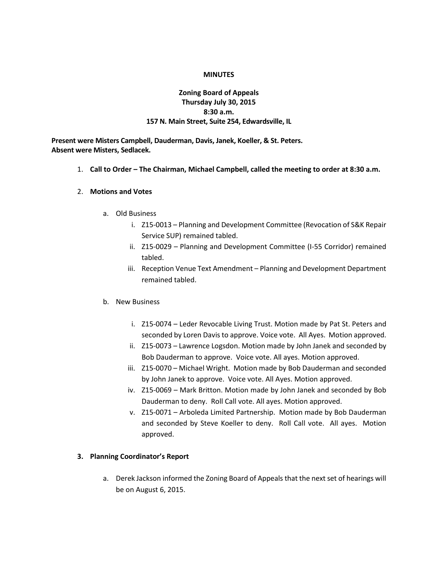#### **MINUTES**

## **Zoning Board of Appeals Thursday July 30, 2015 8:30 a.m. 157 N. Main Street, Suite 254, Edwardsville, IL**

**Present were Misters Campbell, Dauderman, Davis, Janek, Koeller, & St. Peters. Absent were Misters, Sedlacek.**

1. **Call to Order – The Chairman, Michael Campbell, called the meeting to order at 8:30 a.m.**

#### 2. **Motions and Votes**

- a. Old Business
	- i. Z15-0013 Planning and Development Committee (Revocation of S&K Repair Service SUP) remained tabled.
	- ii. Z15-0029 Planning and Development Committee (I-55 Corridor) remained tabled.
	- iii. Reception Venue Text Amendment Planning and Development Department remained tabled.

#### b. New Business

- i. Z15-0074 Leder Revocable Living Trust. Motion made by Pat St. Peters and seconded by Loren Davis to approve. Voice vote. All Ayes. Motion approved.
- ii. Z15-0073 Lawrence Logsdon. Motion made by John Janek and seconded by Bob Dauderman to approve. Voice vote. All ayes. Motion approved.
- iii. Z15-0070 Michael Wright. Motion made by Bob Dauderman and seconded by John Janek to approve. Voice vote. All Ayes. Motion approved.
- iv. Z15-0069 Mark Britton. Motion made by John Janek and seconded by Bob Dauderman to deny. Roll Call vote. All ayes. Motion approved.
- v. Z15-0071 Arboleda Limited Partnership. Motion made by Bob Dauderman and seconded by Steve Koeller to deny. Roll Call vote. All ayes. Motion approved.

### **3. Planning Coordinator's Report**

a. Derek Jackson informed the Zoning Board of Appeals that the next set of hearings will be on August 6, 2015.